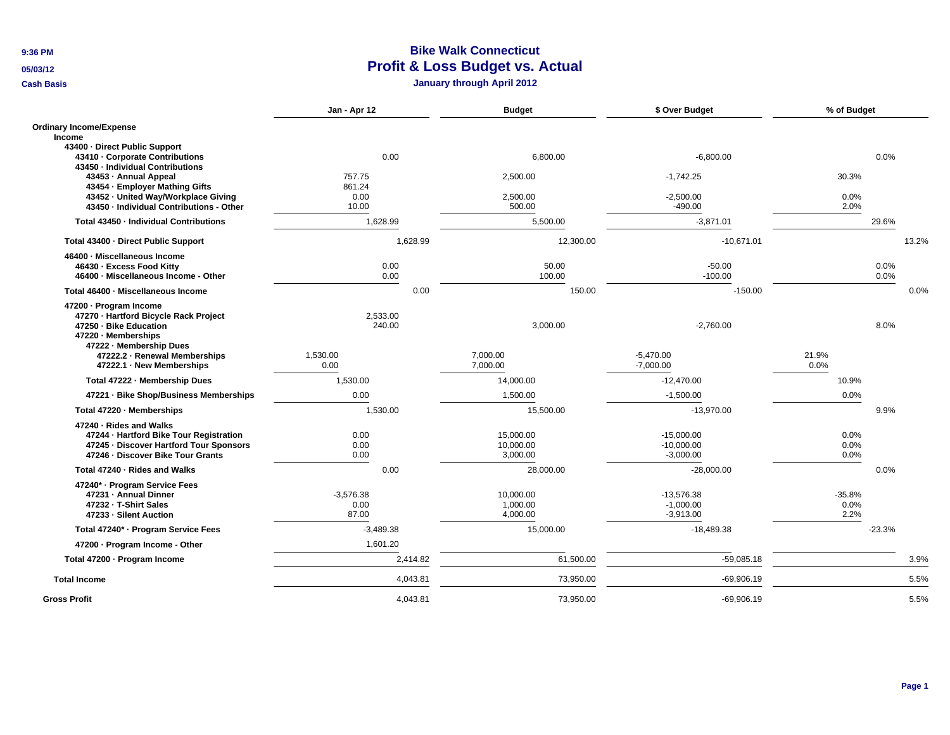**9:36 PM**

**05/03/12**

**Cash Basis**

## **Bike Walk Connecticut Profit & Loss Budget vs. Actual**

**January through April 2012**

|                                                                                                                                                    | Jan - Apr 12                 |          | <b>Budget</b>                      | \$ Over Budget                              | % of Budget              |          |       |
|----------------------------------------------------------------------------------------------------------------------------------------------------|------------------------------|----------|------------------------------------|---------------------------------------------|--------------------------|----------|-------|
| <b>Ordinary Income/Expense</b><br>Income<br>43400 - Direct Public Support                                                                          |                              |          |                                    |                                             |                          |          |       |
| 43410 - Corporate Contributions<br>43450 - Individual Contributions                                                                                | 0.00                         |          | 6,800.00                           | $-6,800.00$                                 |                          | 0.0%     |       |
| 43453 - Annual Appeal                                                                                                                              | 757.75                       |          | 2,500.00                           | $-1,742.25$                                 | 30.3%                    |          |       |
| 43454 - Employer Mathing Gifts                                                                                                                     | 861.24                       |          |                                    |                                             |                          |          |       |
| 43452 · United Way/Workplace Giving<br>43450 - Individual Contributions - Other                                                                    | 0.00<br>10.00                |          | 2,500.00<br>500.00                 | $-2,500.00$<br>$-490.00$                    | 0.0%<br>2.0%             |          |       |
| Total 43450 - Individual Contributions                                                                                                             | 1,628.99                     |          | 5,500.00                           | $-3,871.01$                                 |                          | 29.6%    |       |
| Total 43400 · Direct Public Support                                                                                                                | 1,628.99                     |          | 12,300.00                          | $-10,671.01$                                |                          |          | 13.2% |
| 46400 · Miscellaneous Income                                                                                                                       |                              |          |                                    |                                             |                          |          |       |
| 46430 - Excess Food Kitty                                                                                                                          | 0.00                         |          | 50.00                              | $-50.00$                                    |                          | 0.0%     |       |
| 46400 - Miscellaneous Income - Other                                                                                                               | 0.00                         |          | 100.00                             | $-100.00$                                   |                          | 0.0%     |       |
| Total 46400 · Miscellaneous Income                                                                                                                 |                              | 0.00     | 150.00                             | $-150.00$                                   |                          |          | 0.0%  |
| 47200 · Program Income<br>47270 · Hartford Bicycle Rack Project<br>47250 · Bike Education<br>47220 - Memberships                                   | 2,533.00<br>240.00           |          | 3,000.00                           | $-2,760.00$                                 |                          | 8.0%     |       |
| 47222 - Membership Dues<br>47222.2 · Renewal Memberships<br>47222.1 · New Memberships                                                              | 1,530.00<br>0.00             |          | 7.000.00<br>7,000.00               | $-5,470.00$<br>$-7,000.00$                  | 21.9%<br>0.0%            |          |       |
| Total 47222 - Membership Dues                                                                                                                      | 1,530.00                     |          | 14,000.00                          | $-12,470.00$                                | 10.9%                    |          |       |
| 47221 · Bike Shop/Business Memberships                                                                                                             | 0.00                         |          | 1,500.00                           | $-1,500.00$                                 | 0.0%                     |          |       |
| Total 47220 - Memberships                                                                                                                          | 1,530.00                     |          | 15,500.00                          | $-13,970.00$                                |                          | 9.9%     |       |
| 47240 · Rides and Walks<br>47244 - Hartford Bike Tour Registration<br>47245 - Discover Hartford Tour Sponsors<br>47246 - Discover Bike Tour Grants | 0.00<br>0.00<br>0.00         |          | 15,000.00<br>10,000.00<br>3,000.00 | $-15,000.00$<br>$-10,000.00$<br>$-3,000.00$ | 0.0%<br>0.0%<br>0.0%     |          |       |
| Total 47240 · Rides and Walks                                                                                                                      | 0.00                         |          | 28,000.00                          | $-28,000.00$                                |                          | 0.0%     |       |
| 47240* · Program Service Fees<br>47231 - Annual Dinner<br>47232 - T-Shirt Sales<br>47233 - Silent Auction                                          | $-3,576.38$<br>0.00<br>87.00 |          | 10,000.00<br>1,000.00<br>4,000.00  | $-13,576.38$<br>$-1,000.00$<br>$-3,913.00$  | $-35.8%$<br>0.0%<br>2.2% |          |       |
| Total 47240* · Program Service Fees                                                                                                                | $-3,489.38$                  |          | 15,000.00                          | $-18,489.38$                                |                          | $-23.3%$ |       |
| 47200 - Program Income - Other                                                                                                                     | 1,601.20                     |          |                                    |                                             |                          |          |       |
| Total 47200 · Program Income                                                                                                                       |                              | 2,414.82 | 61,500.00                          | $-59,085.18$                                |                          |          | 3.9%  |
| <b>Total Income</b>                                                                                                                                |                              | 4.043.81 | 73,950.00                          | $-69.906.19$                                |                          |          | 5.5%  |
| <b>Gross Profit</b>                                                                                                                                |                              | 4,043.81 | 73,950.00                          | $-69,906.19$                                |                          |          | 5.5%  |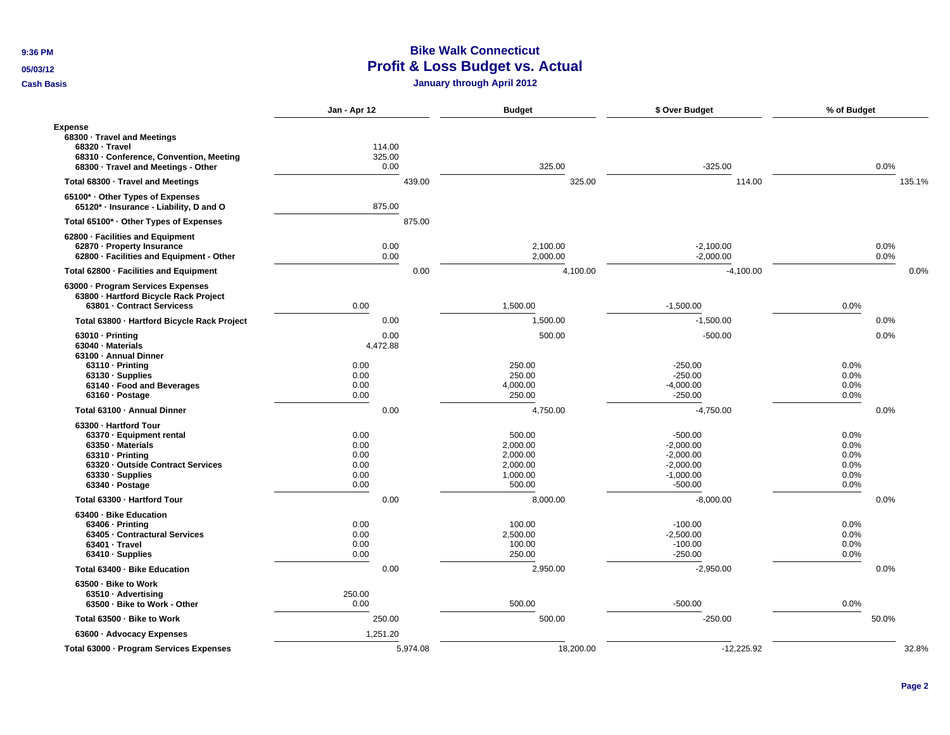**9:36 PM**

**05/03/12**

**Cash Basis**

## **Bike Walk Connecticut Profit & Loss Budget vs. Actual**

**January through April 2012**

|                                                                                                                                                                                     | Jan - Apr 12                                 | <b>Budget</b>                                                    | \$ Over Budget                                                                     | % of Budget                                  |
|-------------------------------------------------------------------------------------------------------------------------------------------------------------------------------------|----------------------------------------------|------------------------------------------------------------------|------------------------------------------------------------------------------------|----------------------------------------------|
| <b>Expense</b><br>68300 · Travel and Meetings<br>68320 · Travel<br>68310 · Conference, Convention, Meeting<br>68300 · Travel and Meetings - Other                                   | 114.00<br>325.00<br>0.00                     | 325.00                                                           | $-325.00$                                                                          | 0.0%                                         |
| Total 68300 · Travel and Meetings                                                                                                                                                   | 439.00                                       | 325.00                                                           | 114.00                                                                             | 135.1%                                       |
| 65100* Other Types of Expenses<br>65120* · Insurance - Liability, D and O                                                                                                           | 875.00                                       |                                                                  |                                                                                    |                                              |
| Total 65100* · Other Types of Expenses                                                                                                                                              | 875.00                                       |                                                                  |                                                                                    |                                              |
| 62800 · Facilities and Equipment<br>62870 - Property Insurance<br>62800 · Facilities and Equipment - Other                                                                          | 0.00<br>0.00                                 | 2,100.00<br>2,000.00                                             | $-2.100.00$<br>$-2,000.00$                                                         | 0.0%<br>0.0%                                 |
| Total 62800 - Facilities and Equipment                                                                                                                                              | 0.00                                         | 4,100.00                                                         | $-4,100.00$                                                                        | 0.0%                                         |
| 63000 · Program Services Expenses<br>63800 · Hartford Bicycle Rack Project<br>63801 - Contract Servicess                                                                            | 0.00                                         | 1,500.00                                                         | $-1,500.00$                                                                        | 0.0%                                         |
| Total 63800 - Hartford Bicycle Rack Project                                                                                                                                         | 0.00                                         | 1,500.00                                                         | $-1,500.00$                                                                        | 0.0%                                         |
| 63010 - Printing<br>63040 · Materials<br>63100 - Annual Dinner                                                                                                                      | 0.00<br>4,472.88<br>0.00                     | 500.00<br>250.00                                                 | $-500.00$<br>$-250.00$                                                             | 0.0%<br>0.0%                                 |
| 63110 - Printing<br>63130 · Supplies<br>63140 · Food and Beverages<br>63160 · Postage                                                                                               | 0.00<br>0.00<br>0.00                         | 250.00<br>4,000.00<br>250.00                                     | $-250.00$<br>$-4,000.00$<br>$-250.00$                                              | 0.0%<br>0.0%<br>0.0%                         |
| Total 63100 · Annual Dinner                                                                                                                                                         | 0.00                                         | 4,750.00                                                         | $-4,750.00$                                                                        | 0.0%                                         |
| 63300 - Hartford Tour<br>63370 · Equipment rental<br>63350 · Materials<br>$63310 \cdot \text{Printing}$<br>63320 - Outside Contract Services<br>63330 · Supplies<br>63340 · Postage | 0.00<br>0.00<br>0.00<br>0.00<br>0.00<br>0.00 | 500.00<br>2,000.00<br>2,000.00<br>2,000.00<br>1,000.00<br>500.00 | $-500.00$<br>$-2,000.00$<br>$-2,000.00$<br>$-2,000.00$<br>$-1,000.00$<br>$-500.00$ | 0.0%<br>0.0%<br>0.0%<br>0.0%<br>0.0%<br>0.0% |
| Total 63300 - Hartford Tour                                                                                                                                                         | 0.00                                         | 8,000.00                                                         | $-8,000.00$                                                                        | 0.0%                                         |
| 63400 · Bike Education<br>63406 - Printina<br>63405 - Contractural Services<br>63401 - Travel<br>$63410 \cdot$ Supplies                                                             | 0.00<br>0.00<br>0.00<br>0.00                 | 100.00<br>2,500.00<br>100.00<br>250.00                           | $-100.00$<br>$-2,500.00$<br>$-100.00$<br>$-250.00$                                 | 0.0%<br>0.0%<br>0.0%<br>0.0%                 |
| Total 63400 · Bike Education                                                                                                                                                        | 0.00                                         | 2,950.00                                                         | $-2,950.00$                                                                        | 0.0%                                         |
| 63500 · Bike to Work<br>63510 - Advertising<br>63500 - Bike to Work - Other                                                                                                         | 250.00<br>0.00                               | 500.00                                                           | $-500.00$                                                                          | 0.0%                                         |
| Total 63500 - Bike to Work                                                                                                                                                          | 250.00                                       | 500.00                                                           | $-250.00$                                                                          | 50.0%                                        |
| 63600 · Advocacy Expenses                                                                                                                                                           | 1,251.20                                     |                                                                  |                                                                                    |                                              |
| Total 63000 - Program Services Expenses                                                                                                                                             | 5,974.08                                     | 18,200.00                                                        | $-12,225.92$                                                                       | 32.8%                                        |